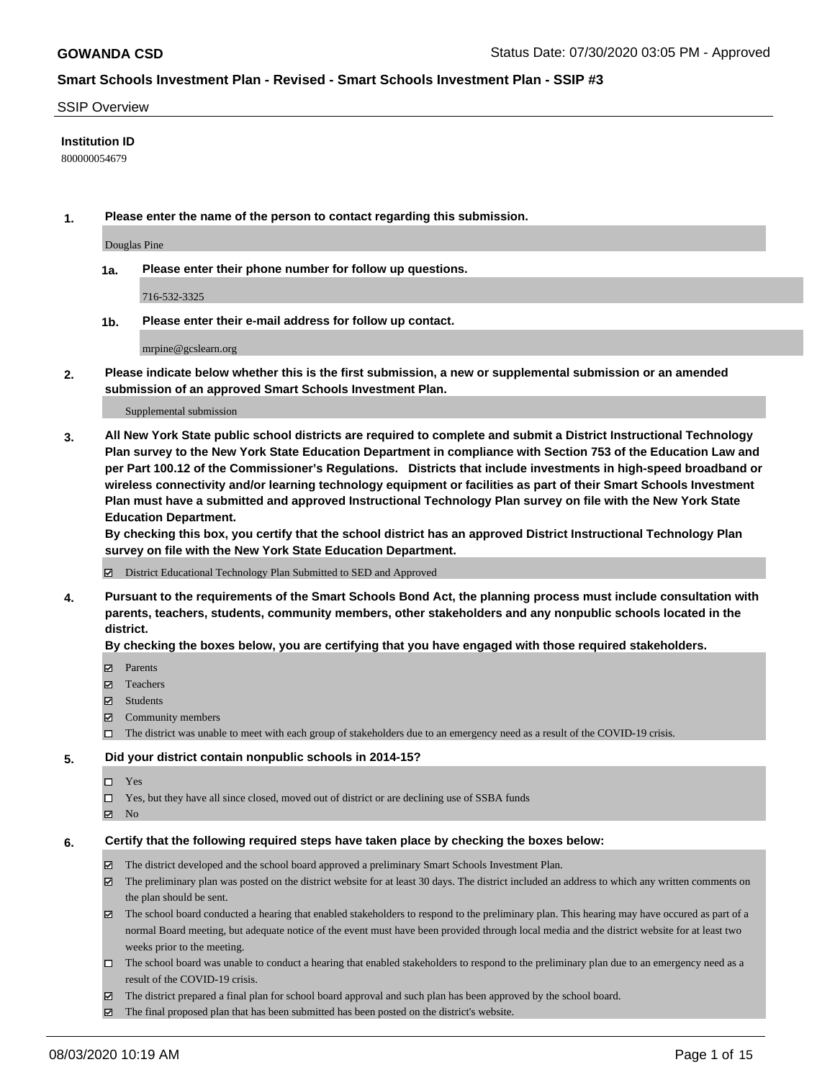### SSIP Overview

### **Institution ID**

800000054679

**1. Please enter the name of the person to contact regarding this submission.**

Douglas Pine

**1a. Please enter their phone number for follow up questions.**

716-532-3325

**1b. Please enter their e-mail address for follow up contact.**

mrpine@gcslearn.org

**2. Please indicate below whether this is the first submission, a new or supplemental submission or an amended submission of an approved Smart Schools Investment Plan.**

#### Supplemental submission

**3. All New York State public school districts are required to complete and submit a District Instructional Technology Plan survey to the New York State Education Department in compliance with Section 753 of the Education Law and per Part 100.12 of the Commissioner's Regulations. Districts that include investments in high-speed broadband or wireless connectivity and/or learning technology equipment or facilities as part of their Smart Schools Investment Plan must have a submitted and approved Instructional Technology Plan survey on file with the New York State Education Department.** 

**By checking this box, you certify that the school district has an approved District Instructional Technology Plan survey on file with the New York State Education Department.**

District Educational Technology Plan Submitted to SED and Approved

**4. Pursuant to the requirements of the Smart Schools Bond Act, the planning process must include consultation with parents, teachers, students, community members, other stakeholders and any nonpublic schools located in the district.** 

#### **By checking the boxes below, you are certifying that you have engaged with those required stakeholders.**

- **Parents**
- Teachers
- Students
- $\boxtimes$  Community members
- The district was unable to meet with each group of stakeholders due to an emergency need as a result of the COVID-19 crisis.

### **5. Did your district contain nonpublic schools in 2014-15?**

- $\neg$  Yes
- Yes, but they have all since closed, moved out of district or are declining use of SSBA funds
- **Z** No

#### **6. Certify that the following required steps have taken place by checking the boxes below:**

- The district developed and the school board approved a preliminary Smart Schools Investment Plan.
- $\boxtimes$  The preliminary plan was posted on the district website for at least 30 days. The district included an address to which any written comments on the plan should be sent.
- $\boxtimes$  The school board conducted a hearing that enabled stakeholders to respond to the preliminary plan. This hearing may have occured as part of a normal Board meeting, but adequate notice of the event must have been provided through local media and the district website for at least two weeks prior to the meeting.
- The school board was unable to conduct a hearing that enabled stakeholders to respond to the preliminary plan due to an emergency need as a result of the COVID-19 crisis.
- The district prepared a final plan for school board approval and such plan has been approved by the school board.
- $\boxtimes$  The final proposed plan that has been submitted has been posted on the district's website.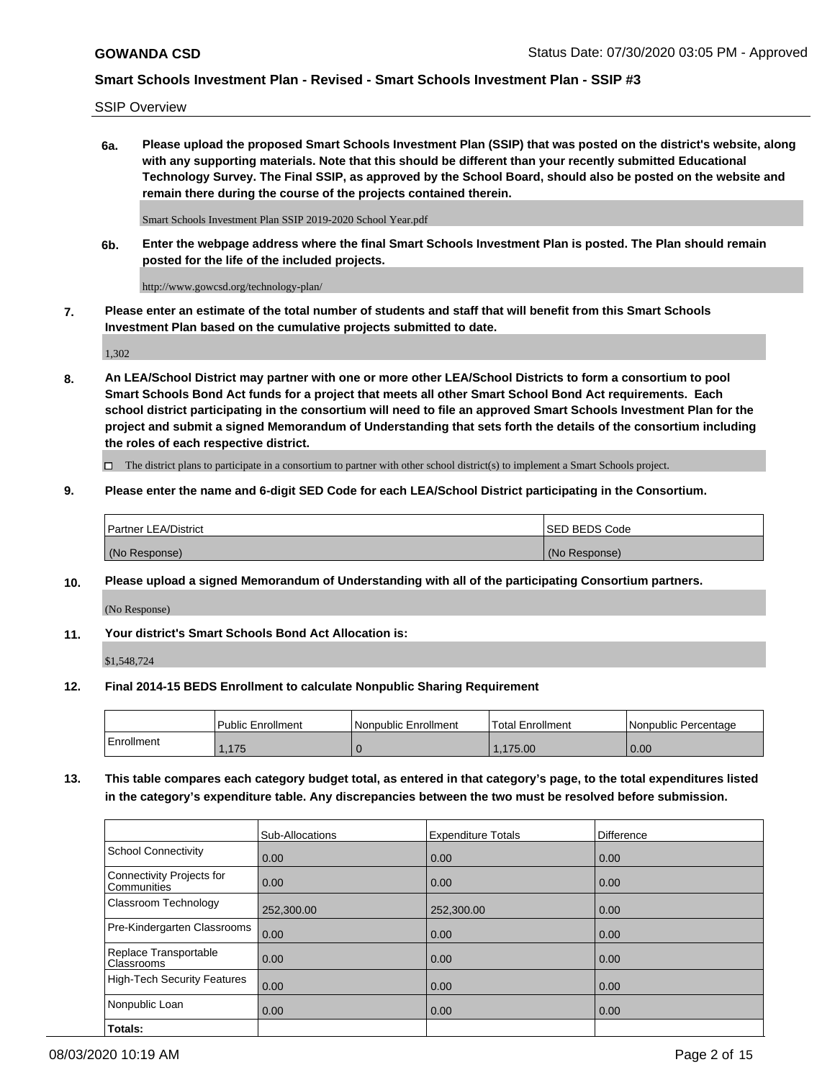SSIP Overview

**6a. Please upload the proposed Smart Schools Investment Plan (SSIP) that was posted on the district's website, along with any supporting materials. Note that this should be different than your recently submitted Educational Technology Survey. The Final SSIP, as approved by the School Board, should also be posted on the website and remain there during the course of the projects contained therein.**

Smart Schools Investment Plan SSIP 2019-2020 School Year.pdf

**6b. Enter the webpage address where the final Smart Schools Investment Plan is posted. The Plan should remain posted for the life of the included projects.**

http://www.gowcsd.org/technology-plan/

**7. Please enter an estimate of the total number of students and staff that will benefit from this Smart Schools Investment Plan based on the cumulative projects submitted to date.**

1,302

**8. An LEA/School District may partner with one or more other LEA/School Districts to form a consortium to pool Smart Schools Bond Act funds for a project that meets all other Smart School Bond Act requirements. Each school district participating in the consortium will need to file an approved Smart Schools Investment Plan for the project and submit a signed Memorandum of Understanding that sets forth the details of the consortium including the roles of each respective district.**

 $\Box$  The district plans to participate in a consortium to partner with other school district(s) to implement a Smart Schools project.

## **9. Please enter the name and 6-digit SED Code for each LEA/School District participating in the Consortium.**

| Partner LEA/District | ISED BEDS Code |
|----------------------|----------------|
| (No Response)        | (No Response)  |

## **10. Please upload a signed Memorandum of Understanding with all of the participating Consortium partners.**

(No Response)

## **11. Your district's Smart Schools Bond Act Allocation is:**

\$1,548,724

## **12. Final 2014-15 BEDS Enrollment to calculate Nonpublic Sharing Requirement**

|            | Public Enrollment | Nonpublic Enrollment | Total Enrollment | Nonpublic Percentage |
|------------|-------------------|----------------------|------------------|----------------------|
| Enrollment | .175              |                      | .175.00          | 0.00                 |

**13. This table compares each category budget total, as entered in that category's page, to the total expenditures listed in the category's expenditure table. Any discrepancies between the two must be resolved before submission.**

|                                          | Sub-Allocations | <b>Expenditure Totals</b> | Difference |
|------------------------------------------|-----------------|---------------------------|------------|
| <b>School Connectivity</b>               | 0.00            | 0.00                      | 0.00       |
| Connectivity Projects for<br>Communities | 0.00            | 0.00                      | 0.00       |
| Classroom Technology                     | 252,300.00      | 252,300.00                | 0.00       |
| Pre-Kindergarten Classrooms              | 0.00            | 0.00                      | 0.00       |
| Replace Transportable<br>Classrooms      | 0.00            | 0.00                      | 0.00       |
| <b>High-Tech Security Features</b>       | 0.00            | 0.00                      | 0.00       |
| Nonpublic Loan                           | 0.00            | 0.00                      | 0.00       |
| Totals:                                  |                 |                           |            |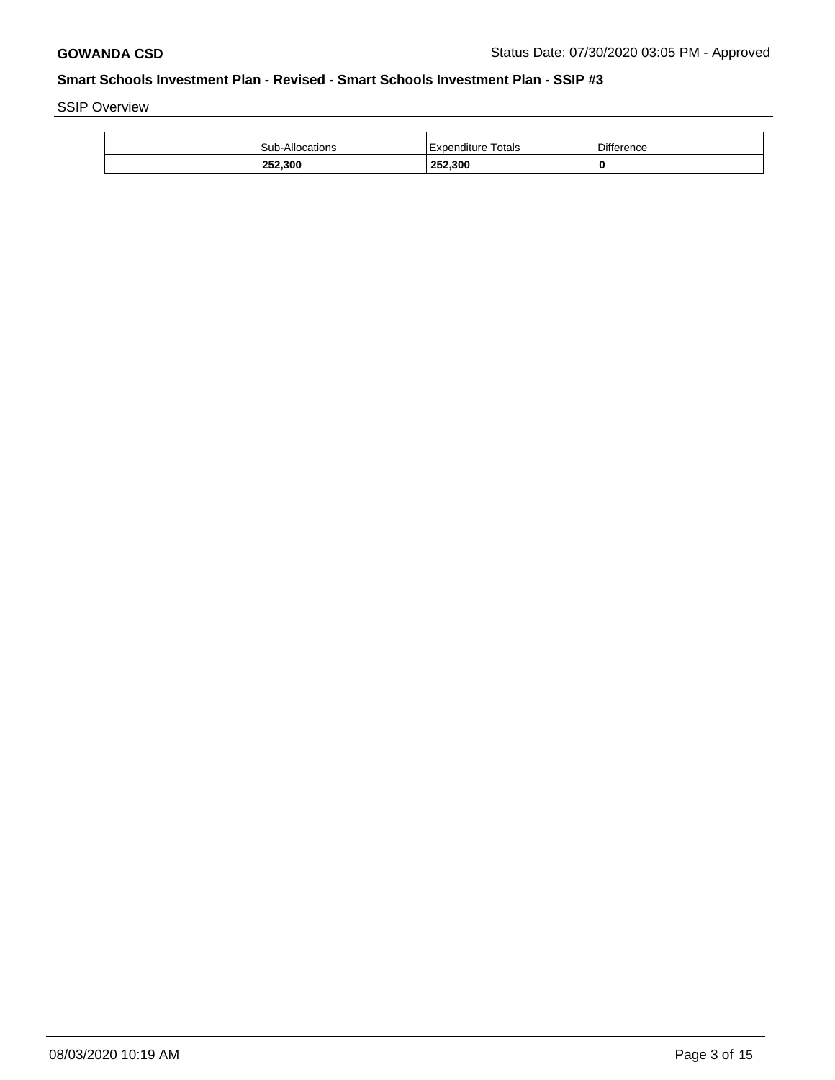SSIP Overview

| 252,300                | 252,300            |            |
|------------------------|--------------------|------------|
| <b>Sub-Allocations</b> | Expenditure Totals | Difference |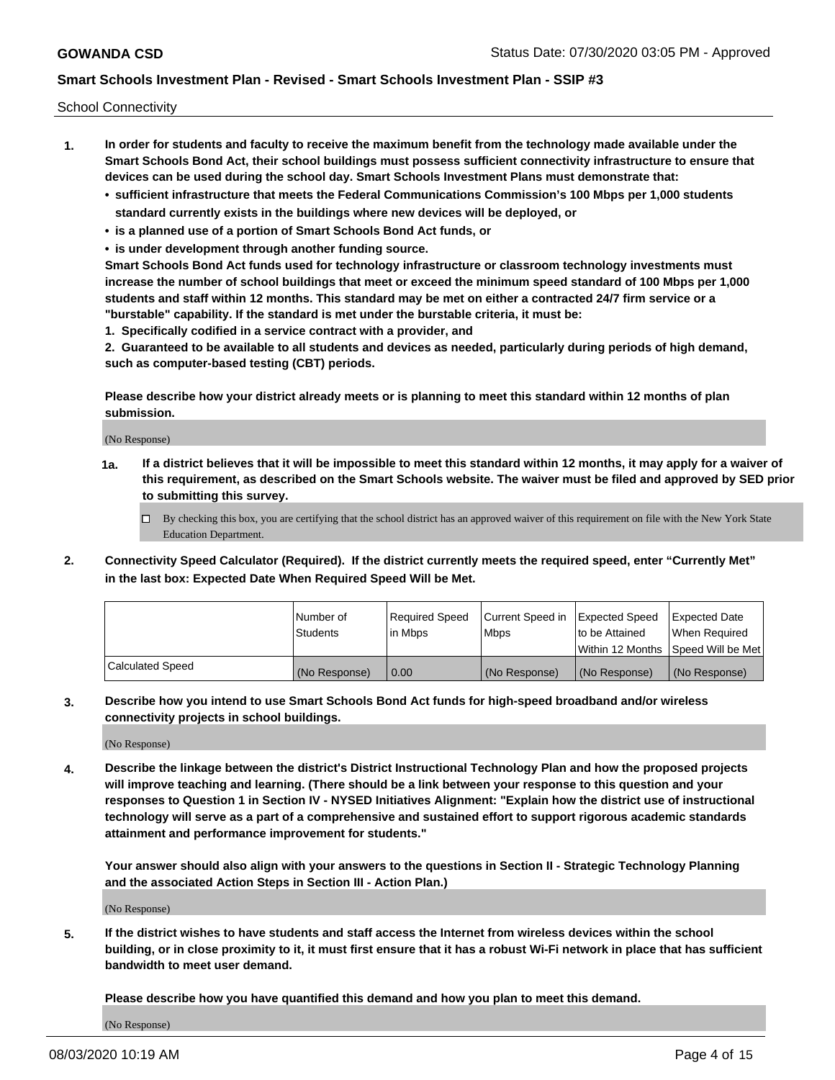School Connectivity

- **1. In order for students and faculty to receive the maximum benefit from the technology made available under the Smart Schools Bond Act, their school buildings must possess sufficient connectivity infrastructure to ensure that devices can be used during the school day. Smart Schools Investment Plans must demonstrate that:**
	- **• sufficient infrastructure that meets the Federal Communications Commission's 100 Mbps per 1,000 students standard currently exists in the buildings where new devices will be deployed, or**
	- **• is a planned use of a portion of Smart Schools Bond Act funds, or**
	- **• is under development through another funding source.**

**Smart Schools Bond Act funds used for technology infrastructure or classroom technology investments must increase the number of school buildings that meet or exceed the minimum speed standard of 100 Mbps per 1,000 students and staff within 12 months. This standard may be met on either a contracted 24/7 firm service or a "burstable" capability. If the standard is met under the burstable criteria, it must be:**

**1. Specifically codified in a service contract with a provider, and**

**2. Guaranteed to be available to all students and devices as needed, particularly during periods of high demand, such as computer-based testing (CBT) periods.**

**Please describe how your district already meets or is planning to meet this standard within 12 months of plan submission.**

(No Response)

**1a. If a district believes that it will be impossible to meet this standard within 12 months, it may apply for a waiver of this requirement, as described on the Smart Schools website. The waiver must be filed and approved by SED prior to submitting this survey.**

 $\Box$  By checking this box, you are certifying that the school district has an approved waiver of this requirement on file with the New York State Education Department.

**2. Connectivity Speed Calculator (Required). If the district currently meets the required speed, enter "Currently Met" in the last box: Expected Date When Required Speed Will be Met.**

|                  | l Number of     | Required Speed | Current Speed in | Expected Speed  | Expected Date                           |
|------------------|-----------------|----------------|------------------|-----------------|-----------------------------------------|
|                  | <b>Students</b> | In Mbps        | l Mbps           | to be Attained  | When Required                           |
|                  |                 |                |                  |                 | l Within 12 Months ISpeed Will be Met l |
| Calculated Speed | (No Response)   | 0.00           | (No Response)    | l (No Response) | l (No Response)                         |

**3. Describe how you intend to use Smart Schools Bond Act funds for high-speed broadband and/or wireless connectivity projects in school buildings.**

(No Response)

**4. Describe the linkage between the district's District Instructional Technology Plan and how the proposed projects will improve teaching and learning. (There should be a link between your response to this question and your responses to Question 1 in Section IV - NYSED Initiatives Alignment: "Explain how the district use of instructional technology will serve as a part of a comprehensive and sustained effort to support rigorous academic standards attainment and performance improvement for students."** 

**Your answer should also align with your answers to the questions in Section II - Strategic Technology Planning and the associated Action Steps in Section III - Action Plan.)**

(No Response)

**5. If the district wishes to have students and staff access the Internet from wireless devices within the school building, or in close proximity to it, it must first ensure that it has a robust Wi-Fi network in place that has sufficient bandwidth to meet user demand.**

**Please describe how you have quantified this demand and how you plan to meet this demand.**

(No Response)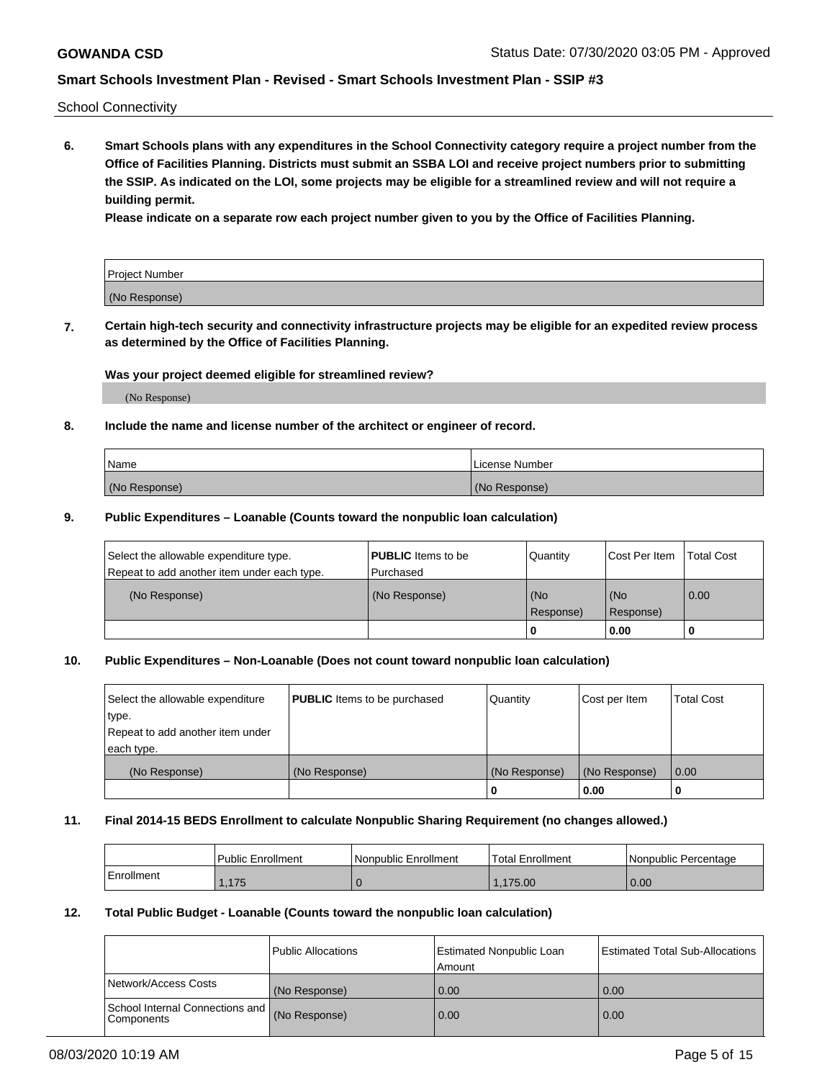School Connectivity

**6. Smart Schools plans with any expenditures in the School Connectivity category require a project number from the Office of Facilities Planning. Districts must submit an SSBA LOI and receive project numbers prior to submitting the SSIP. As indicated on the LOI, some projects may be eligible for a streamlined review and will not require a building permit.**

**Please indicate on a separate row each project number given to you by the Office of Facilities Planning.**

| Project Number |  |
|----------------|--|
| (No Response)  |  |

**7. Certain high-tech security and connectivity infrastructure projects may be eligible for an expedited review process as determined by the Office of Facilities Planning.**

### **Was your project deemed eligible for streamlined review?**

(No Response)

## **8. Include the name and license number of the architect or engineer of record.**

| Name          | License Number |
|---------------|----------------|
| (No Response) | (No Response)  |

### **9. Public Expenditures – Loanable (Counts toward the nonpublic loan calculation)**

| Select the allowable expenditure type.<br>Repeat to add another item under each type. | <b>PUBLIC</b> Items to be<br>l Purchased | Quantity         | l Cost Per Item  | <b>Total Cost</b> |
|---------------------------------------------------------------------------------------|------------------------------------------|------------------|------------------|-------------------|
| (No Response)                                                                         | (No Response)                            | (No<br>Response) | (No<br>Response) | 0.00              |
|                                                                                       |                                          | 0                | 0.00             |                   |

## **10. Public Expenditures – Non-Loanable (Does not count toward nonpublic loan calculation)**

| Select the allowable expenditure<br>type.<br>Repeat to add another item under<br>each type. | <b>PUBLIC</b> Items to be purchased | Quantity      | Cost per Item | <b>Total Cost</b> |
|---------------------------------------------------------------------------------------------|-------------------------------------|---------------|---------------|-------------------|
| (No Response)                                                                               | (No Response)                       | (No Response) | (No Response) | 0.00              |
|                                                                                             |                                     |               | 0.00          |                   |

#### **11. Final 2014-15 BEDS Enrollment to calculate Nonpublic Sharing Requirement (no changes allowed.)**

|            | Public Enrollment | Nonpublic Enrollment | 'Total Enrollment | l Nonpublic Percentage |
|------------|-------------------|----------------------|-------------------|------------------------|
| Enrollment | .175              |                      | .175.00           | 0.00                   |

### **12. Total Public Budget - Loanable (Counts toward the nonpublic loan calculation)**

|                                               | Public Allocations | <b>Estimated Nonpublic Loan</b><br>Amount | Estimated Total Sub-Allocations |
|-----------------------------------------------|--------------------|-------------------------------------------|---------------------------------|
| Network/Access Costs                          | (No Response)      | 0.00                                      | 0.00                            |
| School Internal Connections and<br>Components | (No Response)      | 0.00                                      | 0.00                            |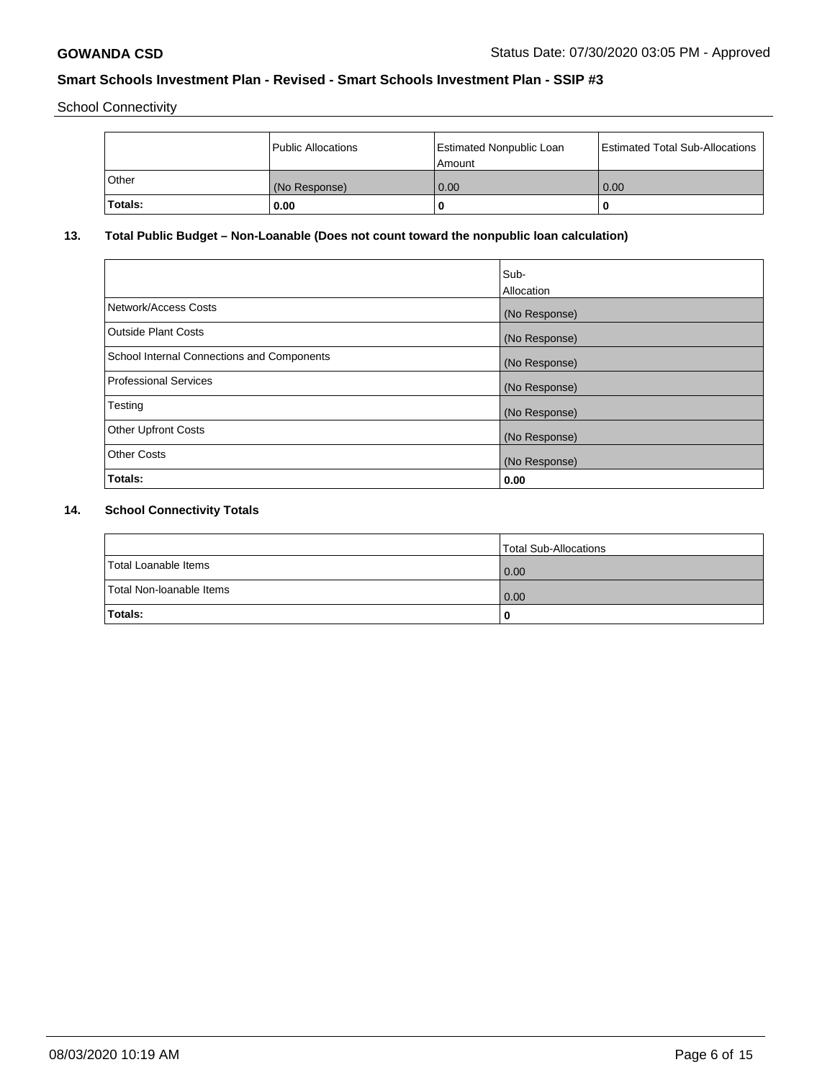School Connectivity

|              | <b>Public Allocations</b> | <b>Estimated Nonpublic Loan</b><br>l Amount | <b>Estimated Total Sub-Allocations</b> |
|--------------|---------------------------|---------------------------------------------|----------------------------------------|
| <b>Other</b> | (No Response)             | 0.00                                        | 0.00                                   |
| Totals:      | 0.00                      | 0                                           | ш                                      |

# **13. Total Public Budget – Non-Loanable (Does not count toward the nonpublic loan calculation)**

| Sub-<br>Allocation |
|--------------------|
| (No Response)      |
| (No Response)      |
| (No Response)      |
| (No Response)      |
| (No Response)      |
| (No Response)      |
| (No Response)      |
| 0.00               |
|                    |

# **14. School Connectivity Totals**

|                          | Total Sub-Allocations |
|--------------------------|-----------------------|
| Total Loanable Items     | 0.00                  |
| Total Non-Ioanable Items | 0.00                  |
| Totals:                  | 0                     |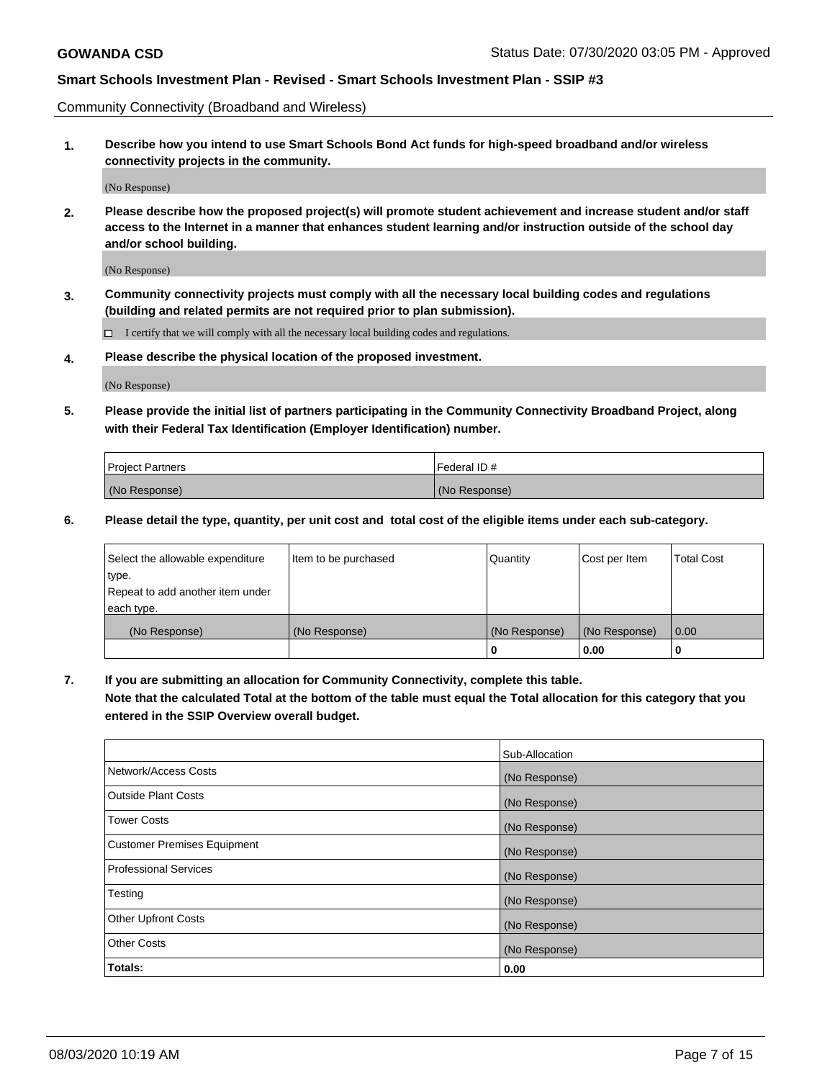Community Connectivity (Broadband and Wireless)

**1. Describe how you intend to use Smart Schools Bond Act funds for high-speed broadband and/or wireless connectivity projects in the community.**

(No Response)

**2. Please describe how the proposed project(s) will promote student achievement and increase student and/or staff access to the Internet in a manner that enhances student learning and/or instruction outside of the school day and/or school building.**

(No Response)

**3. Community connectivity projects must comply with all the necessary local building codes and regulations (building and related permits are not required prior to plan submission).**

 $\Box$  I certify that we will comply with all the necessary local building codes and regulations.

**4. Please describe the physical location of the proposed investment.**

(No Response)

**5. Please provide the initial list of partners participating in the Community Connectivity Broadband Project, along with their Federal Tax Identification (Employer Identification) number.**

| <b>Project Partners</b> | l Federal ID # |
|-------------------------|----------------|
| (No Response)           | (No Response)  |

**6. Please detail the type, quantity, per unit cost and total cost of the eligible items under each sub-category.**

| Select the allowable expenditure | Item to be purchased | Quantity      | Cost per Item | <b>Total Cost</b> |
|----------------------------------|----------------------|---------------|---------------|-------------------|
| type.                            |                      |               |               |                   |
| Repeat to add another item under |                      |               |               |                   |
| each type.                       |                      |               |               |                   |
| (No Response)                    | (No Response)        | (No Response) | (No Response) | 0.00              |
|                                  |                      | o             | 0.00          |                   |

**7. If you are submitting an allocation for Community Connectivity, complete this table.**

**Note that the calculated Total at the bottom of the table must equal the Total allocation for this category that you entered in the SSIP Overview overall budget.**

|                                    | Sub-Allocation |
|------------------------------------|----------------|
| Network/Access Costs               | (No Response)  |
| Outside Plant Costs                | (No Response)  |
| <b>Tower Costs</b>                 | (No Response)  |
| <b>Customer Premises Equipment</b> | (No Response)  |
| <b>Professional Services</b>       | (No Response)  |
| Testing                            | (No Response)  |
| <b>Other Upfront Costs</b>         | (No Response)  |
| <b>Other Costs</b>                 | (No Response)  |
| Totals:                            | 0.00           |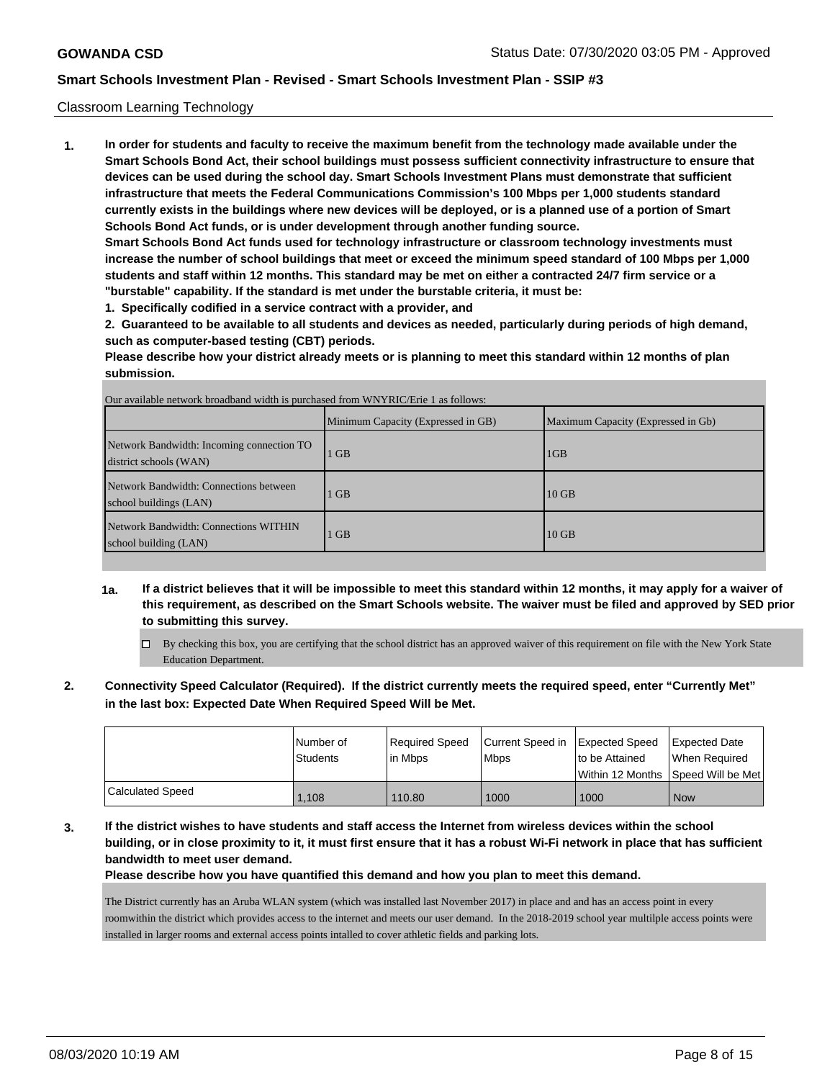### Classroom Learning Technology

**1. In order for students and faculty to receive the maximum benefit from the technology made available under the Smart Schools Bond Act, their school buildings must possess sufficient connectivity infrastructure to ensure that devices can be used during the school day. Smart Schools Investment Plans must demonstrate that sufficient infrastructure that meets the Federal Communications Commission's 100 Mbps per 1,000 students standard currently exists in the buildings where new devices will be deployed, or is a planned use of a portion of Smart Schools Bond Act funds, or is under development through another funding source. Smart Schools Bond Act funds used for technology infrastructure or classroom technology investments must**

**increase the number of school buildings that meet or exceed the minimum speed standard of 100 Mbps per 1,000 students and staff within 12 months. This standard may be met on either a contracted 24/7 firm service or a "burstable" capability. If the standard is met under the burstable criteria, it must be:**

**1. Specifically codified in a service contract with a provider, and**

**2. Guaranteed to be available to all students and devices as needed, particularly during periods of high demand, such as computer-based testing (CBT) periods.**

**Please describe how your district already meets or is planning to meet this standard within 12 months of plan submission.**

|                                                                     | Minimum Capacity (Expressed in GB) | Maximum Capacity (Expressed in Gb) |
|---------------------------------------------------------------------|------------------------------------|------------------------------------|
| Network Bandwidth: Incoming connection TO<br>district schools (WAN) | $1$ GB                             | 1GB                                |
| Network Bandwidth: Connections between<br>school buildings (LAN)    | $1$ GB                             | $10$ GB                            |
| Network Bandwidth: Connections WITHIN<br>school building (LAN)      | $1$ GB                             | $10$ GB                            |

- **1a. If a district believes that it will be impossible to meet this standard within 12 months, it may apply for a waiver of this requirement, as described on the Smart Schools website. The waiver must be filed and approved by SED prior to submitting this survey.**
	- $\Box$  By checking this box, you are certifying that the school district has an approved waiver of this requirement on file with the New York State Education Department.
- **2. Connectivity Speed Calculator (Required). If the district currently meets the required speed, enter "Currently Met" in the last box: Expected Date When Required Speed Will be Met.**

|                         | l Number of | Required Speed | Current Speed in   Expected Speed |                | Expected Date                      |
|-------------------------|-------------|----------------|-----------------------------------|----------------|------------------------------------|
|                         | Students    | l in Mbps      | <b>Mbps</b>                       | to be Attained | When Required                      |
|                         |             |                |                                   |                | Within 12 Months Speed Will be Met |
| <b>Calculated Speed</b> | 1.108       | 110.80         | 1000                              | 1000           | <b>Now</b>                         |

**3. If the district wishes to have students and staff access the Internet from wireless devices within the school building, or in close proximity to it, it must first ensure that it has a robust Wi-Fi network in place that has sufficient bandwidth to meet user demand.**

**Please describe how you have quantified this demand and how you plan to meet this demand.**

The District currently has an Aruba WLAN system (which was installed last November 2017) in place and and has an access point in every roomwithin the district which provides access to the internet and meets our user demand. In the 2018-2019 school year multilple access points were installed in larger rooms and external access points intalled to cover athletic fields and parking lots.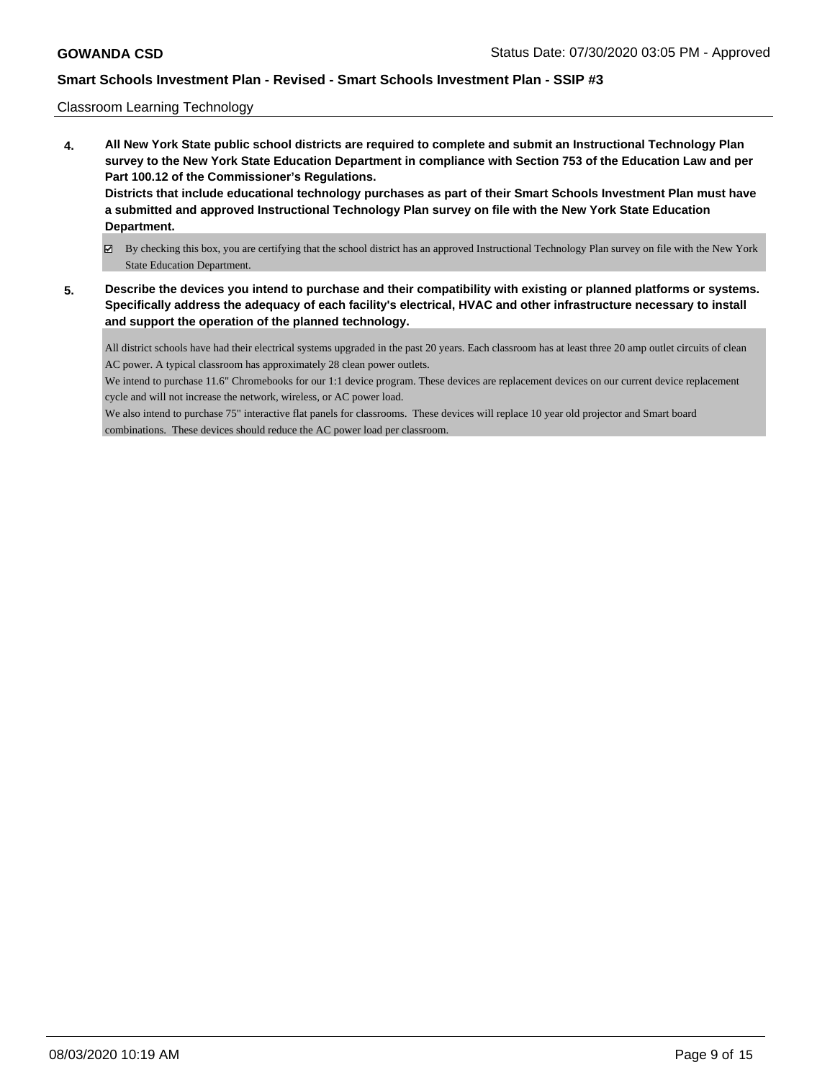### Classroom Learning Technology

- **4. All New York State public school districts are required to complete and submit an Instructional Technology Plan survey to the New York State Education Department in compliance with Section 753 of the Education Law and per Part 100.12 of the Commissioner's Regulations. Districts that include educational technology purchases as part of their Smart Schools Investment Plan must have a submitted and approved Instructional Technology Plan survey on file with the New York State Education Department.**
	- By checking this box, you are certifying that the school district has an approved Instructional Technology Plan survey on file with the New York State Education Department.
- **5. Describe the devices you intend to purchase and their compatibility with existing or planned platforms or systems. Specifically address the adequacy of each facility's electrical, HVAC and other infrastructure necessary to install and support the operation of the planned technology.**

All district schools have had their electrical systems upgraded in the past 20 years. Each classroom has at least three 20 amp outlet circuits of clean AC power. A typical classroom has approximately 28 clean power outlets.

We intend to purchase 11.6" Chromebooks for our 1:1 device program. These devices are replacement devices on our current device replacement cycle and will not increase the network, wireless, or AC power load.

We also intend to purchase 75" interactive flat panels for classrooms. These devices will replace 10 year old projector and Smart board combinations. These devices should reduce the AC power load per classroom.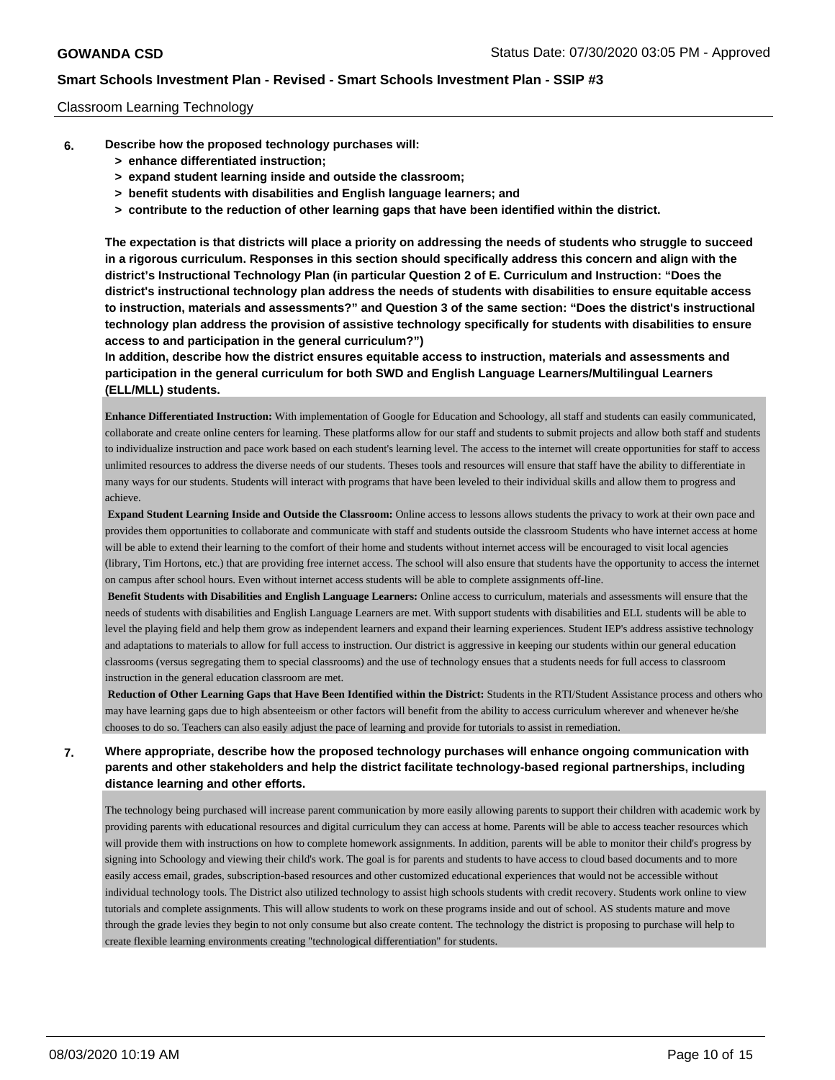### Classroom Learning Technology

- **6. Describe how the proposed technology purchases will:**
	- **> enhance differentiated instruction;**
	- **> expand student learning inside and outside the classroom;**
	- **> benefit students with disabilities and English language learners; and**
	- **> contribute to the reduction of other learning gaps that have been identified within the district.**

**The expectation is that districts will place a priority on addressing the needs of students who struggle to succeed in a rigorous curriculum. Responses in this section should specifically address this concern and align with the district's Instructional Technology Plan (in particular Question 2 of E. Curriculum and Instruction: "Does the district's instructional technology plan address the needs of students with disabilities to ensure equitable access to instruction, materials and assessments?" and Question 3 of the same section: "Does the district's instructional technology plan address the provision of assistive technology specifically for students with disabilities to ensure access to and participation in the general curriculum?")**

**In addition, describe how the district ensures equitable access to instruction, materials and assessments and participation in the general curriculum for both SWD and English Language Learners/Multilingual Learners (ELL/MLL) students.**

**Enhance Differentiated Instruction:** With implementation of Google for Education and Schoology, all staff and students can easily communicated, collaborate and create online centers for learning. These platforms allow for our staff and students to submit projects and allow both staff and students to individualize instruction and pace work based on each student's learning level. The access to the internet will create opportunities for staff to access unlimited resources to address the diverse needs of our students. Theses tools and resources will ensure that staff have the ability to differentiate in many ways for our students. Students will interact with programs that have been leveled to their individual skills and allow them to progress and achieve.

**Expand Student Learning Inside and Outside the Classroom:** Online access to lessons allows students the privacy to work at their own pace and provides them opportunities to collaborate and communicate with staff and students outside the classroom Students who have internet access at home will be able to extend their learning to the comfort of their home and students without internet access will be encouraged to visit local agencies (library, Tim Hortons, etc.) that are providing free internet access. The school will also ensure that students have the opportunity to access the internet on campus after school hours. Even without internet access students will be able to complete assignments off-line.

**Benefit Students with Disabilities and English Language Learners:** Online access to curriculum, materials and assessments will ensure that the needs of students with disabilities and English Language Learners are met. With support students with disabilities and ELL students will be able to level the playing field and help them grow as independent learners and expand their learning experiences. Student IEP's address assistive technology and adaptations to materials to allow for full access to instruction. Our district is aggressive in keeping our students within our general education classrooms (versus segregating them to special classrooms) and the use of technology ensues that a students needs for full access to classroom instruction in the general education classroom are met.

**Reduction of Other Learning Gaps that Have Been Identified within the District:** Students in the RTI/Student Assistance process and others who may have learning gaps due to high absenteeism or other factors will benefit from the ability to access curriculum wherever and whenever he/she chooses to do so. Teachers can also easily adjust the pace of learning and provide for tutorials to assist in remediation.

# **7. Where appropriate, describe how the proposed technology purchases will enhance ongoing communication with parents and other stakeholders and help the district facilitate technology-based regional partnerships, including distance learning and other efforts.**

The technology being purchased will increase parent communication by more easily allowing parents to support their children with academic work by providing parents with educational resources and digital curriculum they can access at home. Parents will be able to access teacher resources which will provide them with instructions on how to complete homework assignments. In addition, parents will be able to monitor their child's progress by signing into Schoology and viewing their child's work. The goal is for parents and students to have access to cloud based documents and to more easily access email, grades, subscription-based resources and other customized educational experiences that would not be accessible without individual technology tools. The District also utilized technology to assist high schools students with credit recovery. Students work online to view tutorials and complete assignments. This will allow students to work on these programs inside and out of school. AS students mature and move through the grade levies they begin to not only consume but also create content. The technology the district is proposing to purchase will help to create flexible learning environments creating "technological differentiation" for students.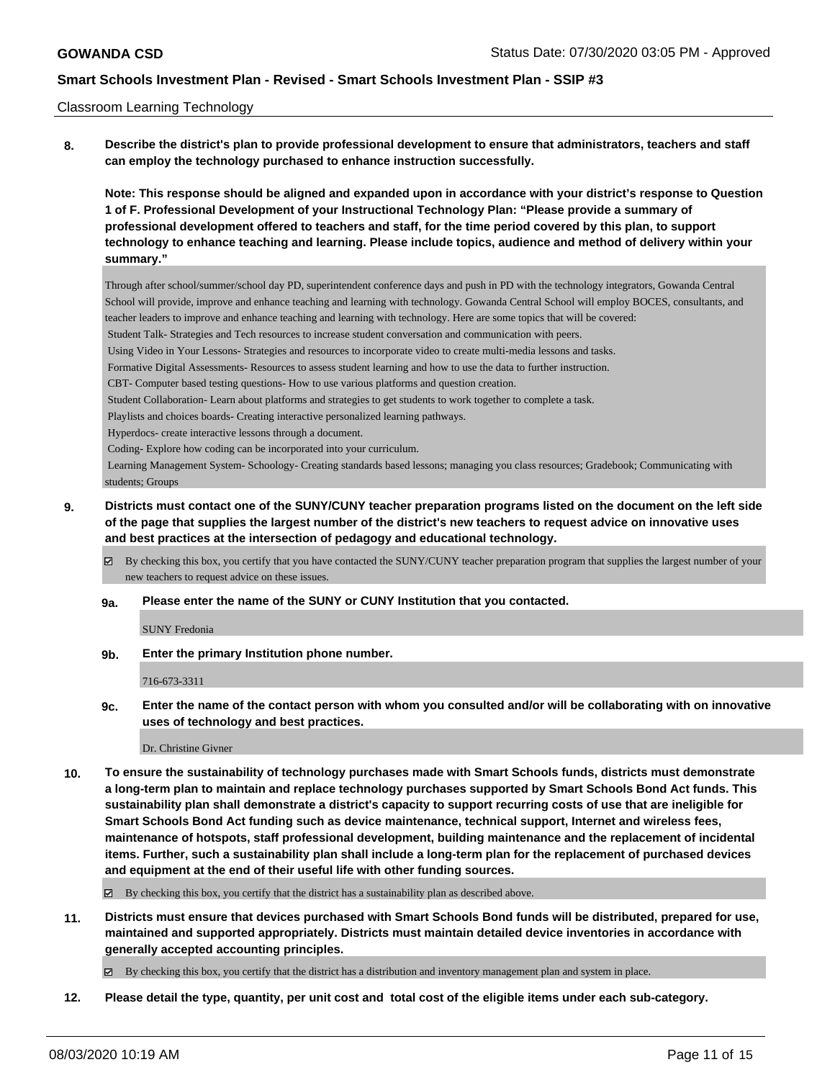### Classroom Learning Technology

**8. Describe the district's plan to provide professional development to ensure that administrators, teachers and staff can employ the technology purchased to enhance instruction successfully.**

**Note: This response should be aligned and expanded upon in accordance with your district's response to Question 1 of F. Professional Development of your Instructional Technology Plan: "Please provide a summary of professional development offered to teachers and staff, for the time period covered by this plan, to support technology to enhance teaching and learning. Please include topics, audience and method of delivery within your summary."**

Through after school/summer/school day PD, superintendent conference days and push in PD with the technology integrators, Gowanda Central School will provide, improve and enhance teaching and learning with technology. Gowanda Central School will employ BOCES, consultants, and teacher leaders to improve and enhance teaching and learning with technology. Here are some topics that will be covered:

Student Talk- Strategies and Tech resources to increase student conversation and communication with peers.

Using Video in Your Lessons- Strategies and resources to incorporate video to create multi-media lessons and tasks.

Formative Digital Assessments- Resources to assess student learning and how to use the data to further instruction.

CBT- Computer based testing questions- How to use various platforms and question creation.

Student Collaboration- Learn about platforms and strategies to get students to work together to complete a task.

Playlists and choices boards- Creating interactive personalized learning pathways.

Hyperdocs- create interactive lessons through a document.

Coding- Explore how coding can be incorporated into your curriculum.

 Learning Management System- Schoology- Creating standards based lessons; managing you class resources; Gradebook; Communicating with students; Groups

## **9. Districts must contact one of the SUNY/CUNY teacher preparation programs listed on the document on the left side of the page that supplies the largest number of the district's new teachers to request advice on innovative uses and best practices at the intersection of pedagogy and educational technology.**

By checking this box, you certify that you have contacted the SUNY/CUNY teacher preparation program that supplies the largest number of your new teachers to request advice on these issues.

**9a. Please enter the name of the SUNY or CUNY Institution that you contacted.**

SUNY Fredonia

**9b. Enter the primary Institution phone number.**

716-673-3311

**9c. Enter the name of the contact person with whom you consulted and/or will be collaborating with on innovative uses of technology and best practices.**

Dr. Christine Givner

**10. To ensure the sustainability of technology purchases made with Smart Schools funds, districts must demonstrate a long-term plan to maintain and replace technology purchases supported by Smart Schools Bond Act funds. This sustainability plan shall demonstrate a district's capacity to support recurring costs of use that are ineligible for Smart Schools Bond Act funding such as device maintenance, technical support, Internet and wireless fees, maintenance of hotspots, staff professional development, building maintenance and the replacement of incidental items. Further, such a sustainability plan shall include a long-term plan for the replacement of purchased devices and equipment at the end of their useful life with other funding sources.**

By checking this box, you certify that the district has a sustainability plan as described above.

**11. Districts must ensure that devices purchased with Smart Schools Bond funds will be distributed, prepared for use, maintained and supported appropriately. Districts must maintain detailed device inventories in accordance with generally accepted accounting principles.**

By checking this box, you certify that the district has a distribution and inventory management plan and system in place.

**12. Please detail the type, quantity, per unit cost and total cost of the eligible items under each sub-category.**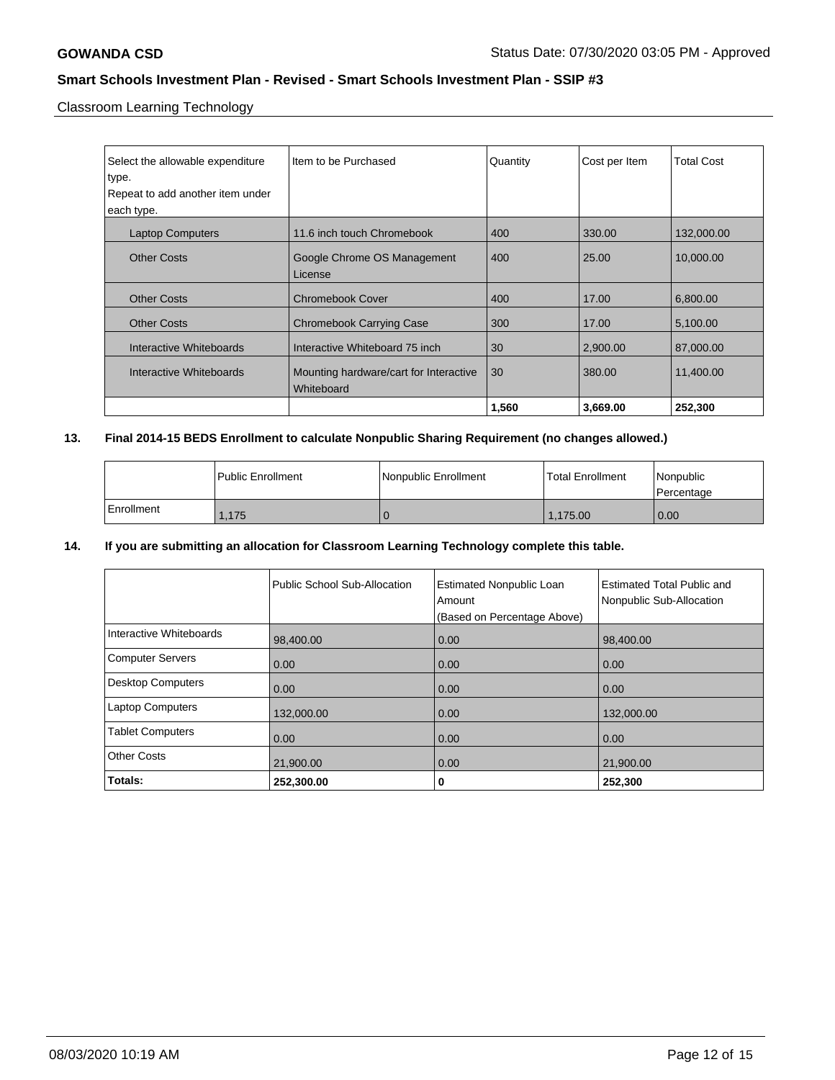Classroom Learning Technology

| Select the allowable expenditure<br>∣type.<br>Repeat to add another item under<br>each type. | Item to be Purchased                                 | Quantity | Cost per Item | <b>Total Cost</b> |
|----------------------------------------------------------------------------------------------|------------------------------------------------------|----------|---------------|-------------------|
| <b>Laptop Computers</b>                                                                      | 11.6 inch touch Chromebook                           | 400      | 330.00        | 132,000.00        |
| <b>Other Costs</b>                                                                           | Google Chrome OS Management<br>License               | 400      | 25.00         | 10.000.00         |
| <b>Other Costs</b>                                                                           | <b>Chromebook Cover</b>                              | 400      | 17.00         | 6,800.00          |
| <b>Other Costs</b>                                                                           | <b>Chromebook Carrying Case</b>                      | 300      | 17.00         | 5,100.00          |
| Interactive Whiteboards                                                                      | Interactive Whiteboard 75 inch                       | 30       | 2,900.00      | 87,000.00         |
| Interactive Whiteboards                                                                      | Mounting hardware/cart for Interactive<br>Whiteboard | 30       | 380.00        | 11,400.00         |
|                                                                                              |                                                      | 1,560    | 3,669.00      | 252,300           |

# **13. Final 2014-15 BEDS Enrollment to calculate Nonpublic Sharing Requirement (no changes allowed.)**

|              | l Public Enrollment | Nonpublic Enrollment | <b>Total Enrollment</b> | Nonpublic<br>l Percentage |
|--------------|---------------------|----------------------|-------------------------|---------------------------|
| l Enrollment | .175                |                      | .175.00                 | 0.00                      |

## **14. If you are submitting an allocation for Classroom Learning Technology complete this table.**

|                          | Public School Sub-Allocation | <b>Estimated Nonpublic Loan</b><br>Amount<br>(Based on Percentage Above) | <b>Estimated Total Public and</b><br>Nonpublic Sub-Allocation |
|--------------------------|------------------------------|--------------------------------------------------------------------------|---------------------------------------------------------------|
| Interactive Whiteboards  | 98,400.00                    | 0.00                                                                     | 98,400.00                                                     |
| Computer Servers         | 0.00                         | 0.00                                                                     | 0.00                                                          |
| <b>Desktop Computers</b> | 0.00                         | 0.00                                                                     | 0.00                                                          |
| Laptop Computers         | 132,000.00                   | 0.00                                                                     | 132,000.00                                                    |
| <b>Tablet Computers</b>  | 0.00                         | 0.00                                                                     | 0.00                                                          |
| <b>Other Costs</b>       | 21,900.00                    | 0.00                                                                     | 21,900.00                                                     |
| Totals:                  | 252,300.00                   | 0                                                                        | 252,300                                                       |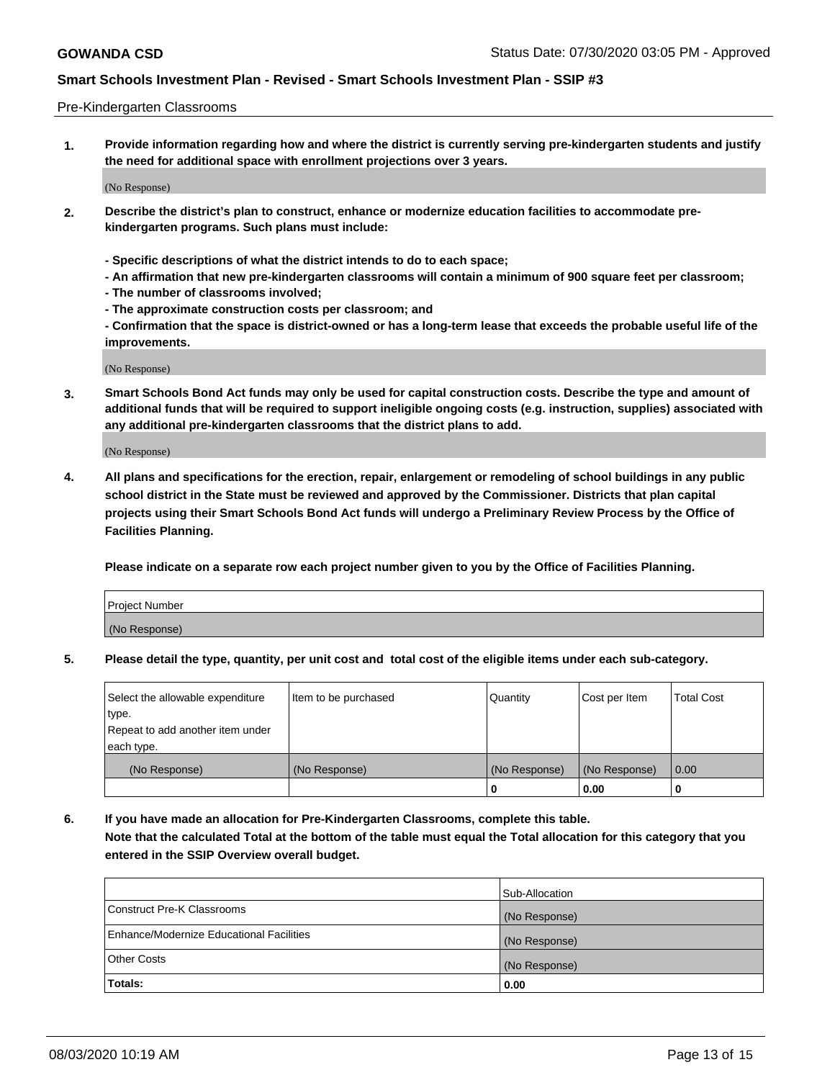### Pre-Kindergarten Classrooms

**1. Provide information regarding how and where the district is currently serving pre-kindergarten students and justify the need for additional space with enrollment projections over 3 years.**

(No Response)

- **2. Describe the district's plan to construct, enhance or modernize education facilities to accommodate prekindergarten programs. Such plans must include:**
	- **Specific descriptions of what the district intends to do to each space;**
	- **An affirmation that new pre-kindergarten classrooms will contain a minimum of 900 square feet per classroom;**
	- **The number of classrooms involved;**
	- **The approximate construction costs per classroom; and**
	- **Confirmation that the space is district-owned or has a long-term lease that exceeds the probable useful life of the improvements.**

(No Response)

**3. Smart Schools Bond Act funds may only be used for capital construction costs. Describe the type and amount of additional funds that will be required to support ineligible ongoing costs (e.g. instruction, supplies) associated with any additional pre-kindergarten classrooms that the district plans to add.**

(No Response)

**4. All plans and specifications for the erection, repair, enlargement or remodeling of school buildings in any public school district in the State must be reviewed and approved by the Commissioner. Districts that plan capital projects using their Smart Schools Bond Act funds will undergo a Preliminary Review Process by the Office of Facilities Planning.**

**Please indicate on a separate row each project number given to you by the Office of Facilities Planning.**

| Project Number |  |
|----------------|--|
| (No Response)  |  |
|                |  |

**5. Please detail the type, quantity, per unit cost and total cost of the eligible items under each sub-category.**

| Select the allowable expenditure | Item to be purchased | Quantity      | Cost per Item | <b>Total Cost</b> |
|----------------------------------|----------------------|---------------|---------------|-------------------|
| type.                            |                      |               |               |                   |
| Repeat to add another item under |                      |               |               |                   |
| each type.                       |                      |               |               |                   |
| (No Response)                    | (No Response)        | (No Response) | (No Response) | 0.00              |
|                                  |                      | υ             | 0.00          |                   |

**6. If you have made an allocation for Pre-Kindergarten Classrooms, complete this table. Note that the calculated Total at the bottom of the table must equal the Total allocation for this category that you entered in the SSIP Overview overall budget.**

|                                          | Sub-Allocation |
|------------------------------------------|----------------|
| Construct Pre-K Classrooms               | (No Response)  |
| Enhance/Modernize Educational Facilities | (No Response)  |
| <b>Other Costs</b>                       | (No Response)  |
| Totals:                                  | 0.00           |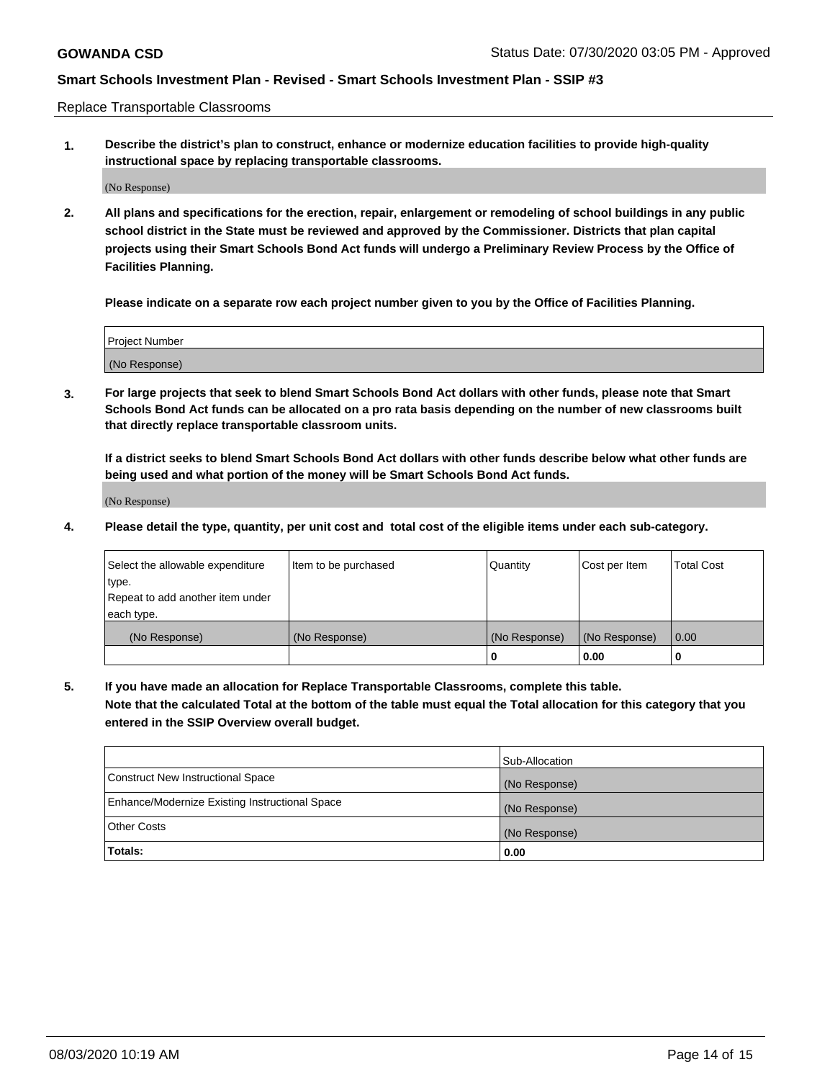Replace Transportable Classrooms

**1. Describe the district's plan to construct, enhance or modernize education facilities to provide high-quality instructional space by replacing transportable classrooms.**

(No Response)

**2. All plans and specifications for the erection, repair, enlargement or remodeling of school buildings in any public school district in the State must be reviewed and approved by the Commissioner. Districts that plan capital projects using their Smart Schools Bond Act funds will undergo a Preliminary Review Process by the Office of Facilities Planning.**

**Please indicate on a separate row each project number given to you by the Office of Facilities Planning.**

| Project Number |  |
|----------------|--|
|                |  |
|                |  |
|                |  |
|                |  |
| (No Response)  |  |
|                |  |
|                |  |
|                |  |

**3. For large projects that seek to blend Smart Schools Bond Act dollars with other funds, please note that Smart Schools Bond Act funds can be allocated on a pro rata basis depending on the number of new classrooms built that directly replace transportable classroom units.**

**If a district seeks to blend Smart Schools Bond Act dollars with other funds describe below what other funds are being used and what portion of the money will be Smart Schools Bond Act funds.**

(No Response)

**4. Please detail the type, quantity, per unit cost and total cost of the eligible items under each sub-category.**

| Select the allowable expenditure | Item to be purchased | Quantity      | Cost per Item | <b>Total Cost</b> |
|----------------------------------|----------------------|---------------|---------------|-------------------|
| ∣type.                           |                      |               |               |                   |
| Repeat to add another item under |                      |               |               |                   |
| each type.                       |                      |               |               |                   |
| (No Response)                    | (No Response)        | (No Response) | (No Response) | 0.00              |
|                                  |                      | U             | 0.00          |                   |

**5. If you have made an allocation for Replace Transportable Classrooms, complete this table. Note that the calculated Total at the bottom of the table must equal the Total allocation for this category that you entered in the SSIP Overview overall budget.**

|                                                | Sub-Allocation |
|------------------------------------------------|----------------|
| Construct New Instructional Space              | (No Response)  |
| Enhance/Modernize Existing Instructional Space | (No Response)  |
| Other Costs                                    | (No Response)  |
| Totals:                                        | 0.00           |